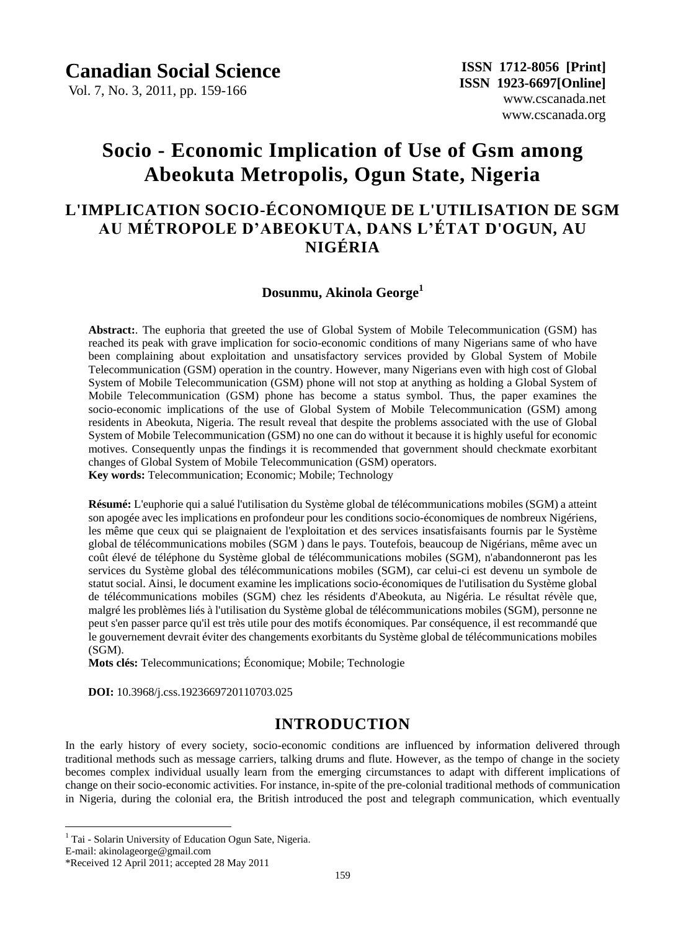Vol. 7, No. 3, 2011, pp. 159-166

# **Socio - Economic Implication of Use of Gsm among Abeokuta Metropolis, Ogun State, Nigeria**

## **L'IMPLICATION SOCIO-ÉCONOMIQUE DE L'UTILISATION DE SGM AU MÉTROPOLE D'ABEOKUTA, DANS L'ÉTAT D'OGUN, AU NIGÉRIA**

#### **Dosunmu, Akinola George<sup>1</sup>**

**Abstract:**. The euphoria that greeted the use of Global System of Mobile Telecommunication (GSM) has reached its peak with grave implication for socio-economic conditions of many Nigerians same of who have been complaining about exploitation and unsatisfactory services provided by Global System of Mobile Telecommunication (GSM) operation in the country. However, many Nigerians even with high cost of Global System of Mobile Telecommunication (GSM) phone will not stop at anything as holding a Global System of Mobile Telecommunication (GSM) phone has become a status symbol. Thus, the paper examines the socio-economic implications of the use of Global System of Mobile Telecommunication (GSM) among residents in Abeokuta, Nigeria. The result reveal that despite the problems associated with the use of Global System of Mobile Telecommunication (GSM) no one can do without it because it is highly useful for economic motives. Consequently unpas the findings it is recommended that government should checkmate exorbitant changes of Global System of Mobile Telecommunication (GSM) operators. **Key words:** Telecommunication; Economic; Mobile; Technology

**R**ésum é: L'euphorie qui a salu él'utilisation du Système global de télécommunications mobiles (SGM) a atteint son apogée avec les implications en profondeur pour les conditions socio-économiques de nombreux Nigériens, les même que ceux qui se plaignaient de l'exploitation et des services insatisfaisants fournis par le Système global de télécommunications mobiles (SGM) dans le pays. Toutefois, beaucoup de Nigérians, même avec un coût élevé de téléphone du Système global de télécommunications mobiles (SGM), n'abandonneront pas les services du Système global des télécommunications mobiles (SGM), car celui-ci est devenu un symbole de statut social. Ainsi, le document examine les implications socio-économiques de l'utilisation du Système global de télécommunications mobiles (SGM) chez les résidents d'Abeokuta, au Nigéria. Le résultat révèle que, malgré les problèmes liés à l'utilisation du Système global de télécommunications mobiles (SGM), personne ne peut s'en passer parce qu'il est très utile pour des motifs économiques. Par conséquence, il est recommandé que le gouvernement devrait éviter des changements exorbitants du Système global de télécommunications mobiles (SGM).

**Mots clés:** Telecommunications; Économique; Mobile; Technologie

 **DOI:** 10.3968/j.css.1923669720110703.025

### **INTRODUCTION**

In the early history of every society, socio-economic conditions are influenced by information delivered through traditional methods such as message carriers, talking drums and flute. However, as the tempo of change in the society becomes complex individual usually learn from the emerging circumstances to adapt with different implications of change on their socio-economic activities. For instance, in-spite of the pre-colonial traditional methods of communication in Nigeria, during the colonial era, the British introduced the post and telegraph communication, which eventually

E-mail: akinolageorge@gmail.com

 $\overline{a}$ 

<sup>&</sup>lt;sup>1</sup> Tai - Solarin University of Education Ogun Sate, Nigeria.

<sup>\*</sup>Received 12 April 2011; accepted 28 May 2011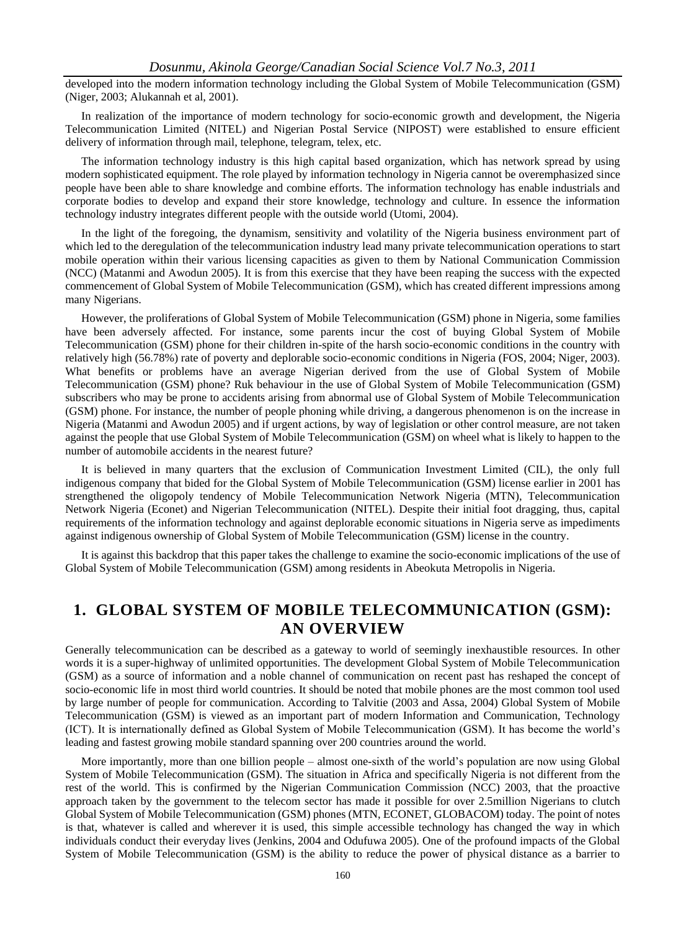#### *Dosunmu, Akinola George/Canadian Social Science Vol.7 No.3, 2011*

developed into the modern information technology including the Global System of Mobile Telecommunication (GSM) (Niger, 2003; Alukannah et al, 2001).

In realization of the importance of modern technology for socio-economic growth and development, the Nigeria Telecommunication Limited (NITEL) and Nigerian Postal Service (NIPOST) were established to ensure efficient delivery of information through mail, telephone, telegram, telex, etc.

The information technology industry is this high capital based organization, which has network spread by using modern sophisticated equipment. The role played by information technology in Nigeria cannot be overemphasized since people have been able to share knowledge and combine efforts. The information technology has enable industrials and corporate bodies to develop and expand their store knowledge, technology and culture. In essence the information technology industry integrates different people with the outside world (Utomi, 2004).

In the light of the foregoing, the dynamism, sensitivity and volatility of the Nigeria business environment part of which led to the deregulation of the telecommunication industry lead many private telecommunication operations to start mobile operation within their various licensing capacities as given to them by National Communication Commission (NCC) (Matanmi and Awodun 2005). It is from this exercise that they have been reaping the success with the expected commencement of Global System of Mobile Telecommunication (GSM), which has created different impressions among many Nigerians.

However, the proliferations of Global System of Mobile Telecommunication (GSM) phone in Nigeria, some families have been adversely affected. For instance, some parents incur the cost of buying Global System of Mobile Telecommunication (GSM) phone for their children in-spite of the harsh socio-economic conditions in the country with relatively high (56.78%) rate of poverty and deplorable socio-economic conditions in Nigeria (FOS, 2004; Niger, 2003). What benefits or problems have an average Nigerian derived from the use of Global System of Mobile Telecommunication (GSM) phone? Ruk behaviour in the use of Global System of Mobile Telecommunication (GSM) subscribers who may be prone to accidents arising from abnormal use of Global System of Mobile Telecommunication (GSM) phone. For instance, the number of people phoning while driving, a dangerous phenomenon is on the increase in Nigeria (Matanmi and Awodun 2005) and if urgent actions, by way of legislation or other control measure, are not taken against the people that use Global System of Mobile Telecommunication (GSM) on wheel what is likely to happen to the number of automobile accidents in the nearest future?

It is believed in many quarters that the exclusion of Communication Investment Limited (CIL), the only full indigenous company that bided for the Global System of Mobile Telecommunication (GSM) license earlier in 2001 has strengthened the oligopoly tendency of Mobile Telecommunication Network Nigeria (MTN), Telecommunication Network Nigeria (Econet) and Nigerian Telecommunication (NITEL). Despite their initial foot dragging, thus, capital requirements of the information technology and against deplorable economic situations in Nigeria serve as impediments against indigenous ownership of Global System of Mobile Telecommunication (GSM) license in the country.

It is against this backdrop that this paper takes the challenge to examine the socio-economic implications of the use of Global System of Mobile Telecommunication (GSM) among residents in Abeokuta Metropolis in Nigeria.

## **1. GLOBAL SYSTEM OF MOBILE TELECOMMUNICATION (GSM): AN OVERVIEW**

Generally telecommunication can be described as a gateway to world of seemingly inexhaustible resources. In other words it is a super-highway of unlimited opportunities. The development Global System of Mobile Telecommunication (GSM) as a source of information and a noble channel of communication on recent past has reshaped the concept of socio-economic life in most third world countries. It should be noted that mobile phones are the most common tool used by large number of people for communication. According to Talvitie (2003 and Assa, 2004) Global System of Mobile Telecommunication (GSM) is viewed as an important part of modern Information and Communication, Technology (ICT). It is internationally defined as Global System of Mobile Telecommunication (GSM). It has become the world's leading and fastest growing mobile standard spanning over 200 countries around the world.

More importantly, more than one billion people – almost one-sixth of the world's population are now using Global System of Mobile Telecommunication (GSM). The situation in Africa and specifically Nigeria is not different from the rest of the world. This is confirmed by the Nigerian Communication Commission (NCC) 2003, that the proactive approach taken by the government to the telecom sector has made it possible for over 2.5million Nigerians to clutch Global System of Mobile Telecommunication (GSM) phones (MTN, ECONET, GLOBACOM) today. The point of notes is that, whatever is called and wherever it is used, this simple accessible technology has changed the way in which individuals conduct their everyday lives (Jenkins, 2004 and Odufuwa 2005). One of the profound impacts of the Global System of Mobile Telecommunication (GSM) is the ability to reduce the power of physical distance as a barrier to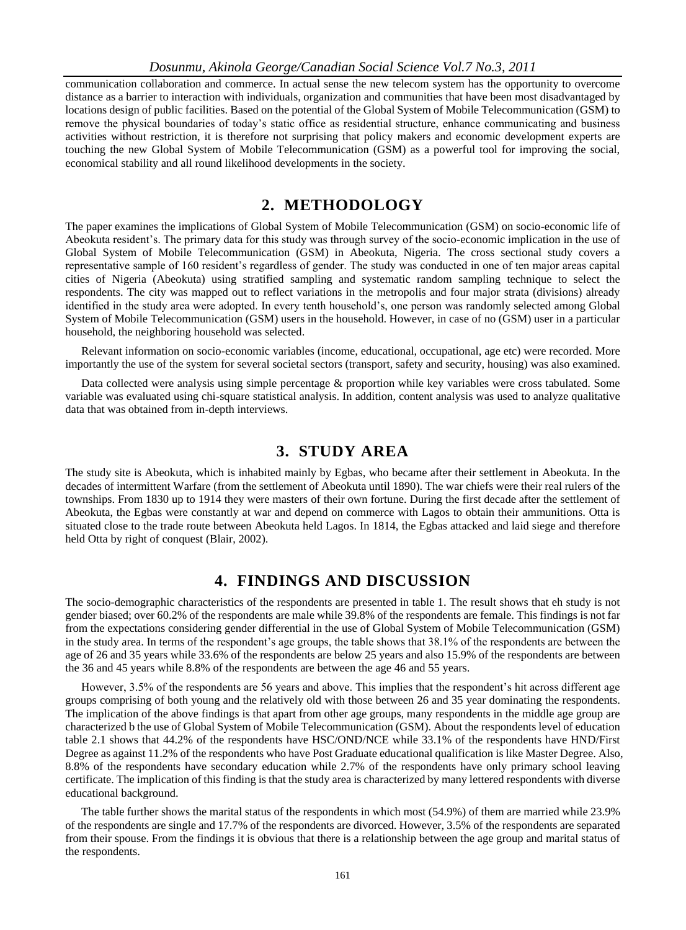#### *Dosunmu, Akinola George/Canadian Social Science Vol.7 No.3, 2011*

communication collaboration and commerce. In actual sense the new telecom system has the opportunity to overcome distance as a barrier to interaction with individuals, organization and communities that have been most disadvantaged by locations design of public facilities. Based on the potential of the Global System of Mobile Telecommunication (GSM) to remove the physical boundaries of today's static office as residential structure, enhance communicating and business activities without restriction, it is therefore not surprising that policy makers and economic development experts are touching the new Global System of Mobile Telecommunication (GSM) as a powerful tool for improving the social, economical stability and all round likelihood developments in the society.

### **2. METHODOLOGY**

The paper examines the implications of Global System of Mobile Telecommunication (GSM) on socio-economic life of Abeokuta resident's. The primary data for this study was through survey of the socio-economic implication in the use of Global System of Mobile Telecommunication (GSM) in Abeokuta, Nigeria. The cross sectional study covers a representative sample of 160 resident's regardless of gender. The study was conducted in one of ten major areas capital cities of Nigeria (Abeokuta) using stratified sampling and systematic random sampling technique to select the respondents. The city was mapped out to reflect variations in the metropolis and four major strata (divisions) already identified in the study area were adopted. In every tenth household's, one person was randomly selected among Global System of Mobile Telecommunication (GSM) users in the household. However, in case of no (GSM) user in a particular household, the neighboring household was selected.

Relevant information on socio-economic variables (income, educational, occupational, age etc) were recorded. More importantly the use of the system for several societal sectors (transport, safety and security, housing) was also examined.

Data collected were analysis using simple percentage & proportion while key variables were cross tabulated. Some variable was evaluated using chi-square statistical analysis. In addition, content analysis was used to analyze qualitative data that was obtained from in-depth interviews.

### **3. STUDY AREA**

The study site is Abeokuta, which is inhabited mainly by Egbas, who became after their settlement in Abeokuta. In the decades of intermittent Warfare (from the settlement of Abeokuta until 1890). The war chiefs were their real rulers of the townships. From 1830 up to 1914 they were masters of their own fortune. During the first decade after the settlement of Abeokuta, the Egbas were constantly at war and depend on commerce with Lagos to obtain their ammunitions. Otta is situated close to the trade route between Abeokuta held Lagos. In 1814, the Egbas attacked and laid siege and therefore held Otta by right of conquest (Blair, 2002).

### **4. FINDINGS AND DISCUSSION**

The socio-demographic characteristics of the respondents are presented in table 1. The result shows that eh study is not gender biased; over 60.2% of the respondents are male while 39.8% of the respondents are female. This findings is not far from the expectations considering gender differential in the use of Global System of Mobile Telecommunication (GSM) in the study area. In terms of the respondent's age groups, the table shows that 38.1% of the respondents are between the age of 26 and 35 years while 33.6% of the respondents are below 25 years and also 15.9% of the respondents are between the 36 and 45 years while 8.8% of the respondents are between the age 46 and 55 years.

However, 3.5% of the respondents are 56 years and above. This implies that the respondent's hit across different age groups comprising of both young and the relatively old with those between 26 and 35 year dominating the respondents. The implication of the above findings is that apart from other age groups, many respondents in the middle age group are characterized b the use of Global System of Mobile Telecommunication (GSM). About the respondents level of education table 2.1 shows that 44.2% of the respondents have HSC/OND/NCE while 33.1% of the respondents have HND/First Degree as against 11.2% of the respondents who have Post Graduate educational qualification is like Master Degree. Also, 8.8% of the respondents have secondary education while 2.7% of the respondents have only primary school leaving certificate. The implication of this finding is that the study area is characterized by many lettered respondents with diverse educational background.

The table further shows the marital status of the respondents in which most (54.9%) of them are married while 23.9% of the respondents are single and 17.7% of the respondents are divorced. However, 3.5% of the respondents are separated from their spouse. From the findings it is obvious that there is a relationship between the age group and marital status of the respondents.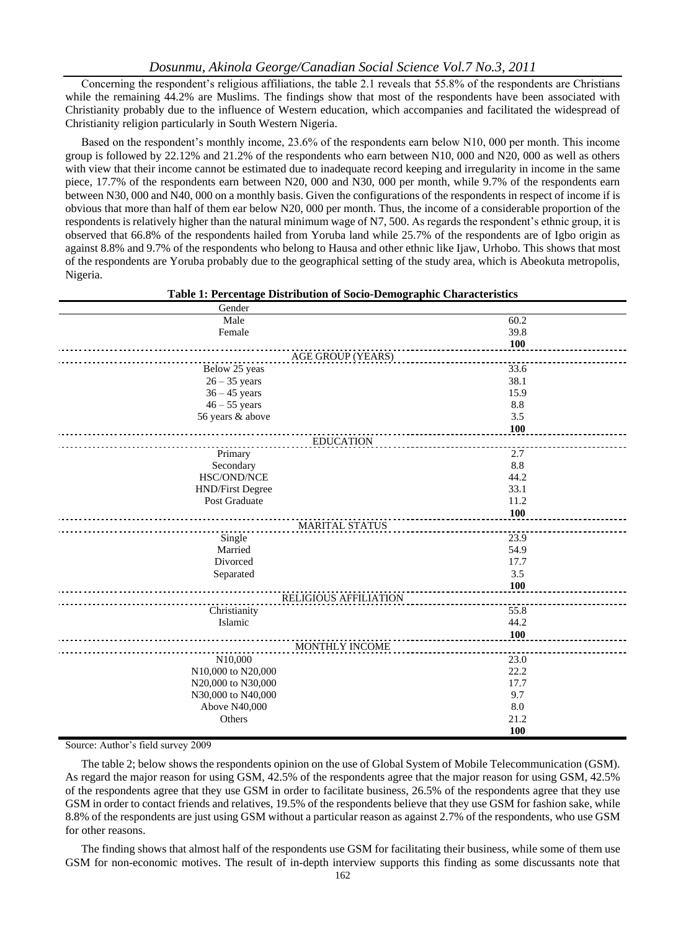Concerning the respondent's religious affiliations, the table 2.1 reveals that 55.8% of the respondents are Christians while the remaining 44.2% are Muslims. The findings show that most of the respondents have been associated with Christianity probably due to the influence of Western education, which accompanies and facilitated the widespread of Christianity religion particularly in South Western Nigeria.

Based on the respondent's monthly income, 23.6% of the respondents earn below N10, 000 per month. This income group is followed by 22.12% and 21.2% of the respondents who earn between N10, 000 and N20, 000 as well as others with view that their income cannot be estimated due to inadequate record keeping and irregularity in income in the same piece, 17.7% of the respondents earn between N20, 000 and N30, 000 per month, while 9.7% of the respondents earn between N30, 000 and N40, 000 on a monthly basis. Given the configurations of the respondents in respect of income if is obvious that more than half of them ear below N20, 000 per month. Thus, the income of a considerable proportion of the respondents is relatively higher than the natural minimum wage of N7, 500. As regards the respondent's ethnic group, it is observed that 66.8% of the respondents hailed from Yoruba land while 25.7% of the respondents are of Igbo origin as against 8.8% and 9.7% of the respondents who belong to Hausa and other ethnic like Ijaw, Urhobo. This shows that most of the respondents are Yoruba probably due to the geographical setting of the study area, which is Abeokuta metropolis, Nigeria.

| Table 1: Percentage Distribution of Socio-Demographic Characteristics |
|-----------------------------------------------------------------------|
|                                                                       |

| Gender                  |            |
|-------------------------|------------|
| Male                    | 60.2       |
| Female                  | 39.8       |
|                         | <b>100</b> |
| AGE GROUP (YEARS)       |            |
| Below 25 yeas           | 33.6       |
| $26 - 35$ years         | 38.1       |
| $36 - 45$ years         | 15.9       |
| $46 - 55$ years         | 8.8        |
| 56 years & above        | 3.5        |
|                         | <b>100</b> |
| <b>EDUCATION</b>        |            |
| Primary                 | 2.7        |
| Secondary               | 8.8        |
| HSC/OND/NCE             | 44.2       |
| <b>HND/First Degree</b> | 33.1       |
| Post Graduate           | 11.2       |
|                         | <b>100</b> |
| <b>MARITAL STATUS</b>   |            |
| Single                  | 23.9       |
| Married                 | 54.9       |
| Divorced                | 17.7       |
| Separated               | 3.5        |
|                         | 100        |
| RELIGIOUS AFFILIATION   |            |
| Christianity            | 55.8       |
| Islamic                 | 44.2       |
|                         | 100        |
| <b>MONTHLY INCOME</b>   |            |
| N10,000                 | 23.0       |
| N10,000 to N20,000      | 22.2       |
| N20,000 to N30,000      | 17.7       |
| N30,000 to N40,000      | 9.7        |
| Above N40,000           | 8.0        |
| Others                  | 21.2       |
|                         | 100        |

Source: Author's field survey 2009

The table 2; below shows the respondents opinion on the use of Global System of Mobile Telecommunication (GSM). As regard the major reason for using GSM, 42.5% of the respondents agree that the major reason for using GSM, 42.5% of the respondents agree that they use GSM in order to facilitate business, 26.5% of the respondents agree that they use GSM in order to contact friends and relatives, 19.5% of the respondents believe that they use GSM for fashion sake, while 8.8% of the respondents are just using GSM without a particular reason as against 2.7% of the respondents, who use GSM for other reasons.

The finding shows that almost half of the respondents use GSM for facilitating their business, while some of them use GSM for non-economic motives. The result of in-depth interview supports this finding as some discussants note that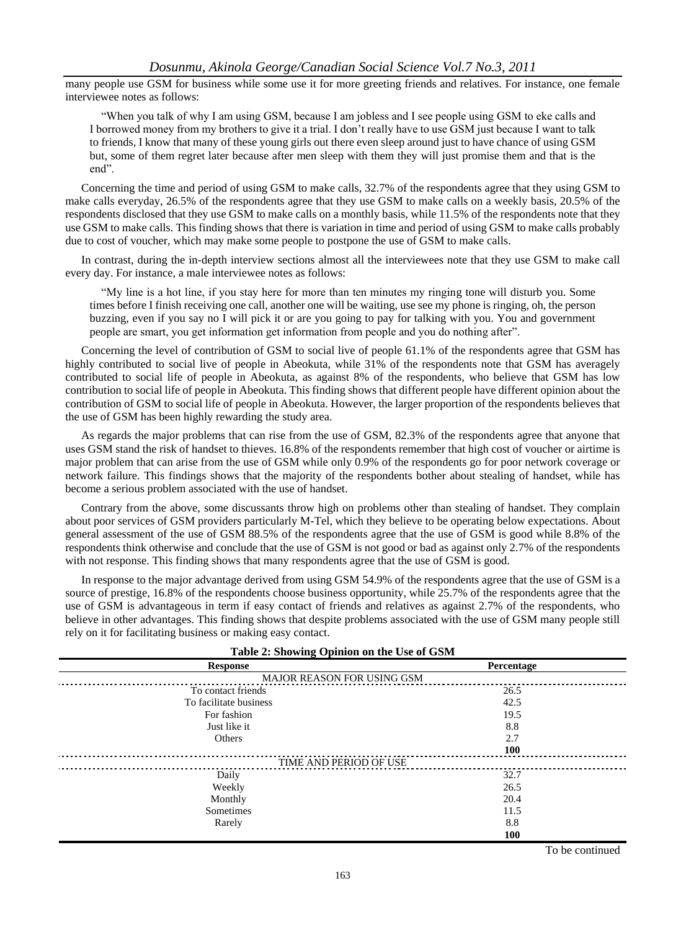many people use GSM for business while some use it for more greeting friends and relatives. For instance, one female interviewee notes as follows:

"When you talk of why I am using GSM, because I am jobless and I see people using GSM to eke calls and I borrowed money from my brothers to give it a trial. I don't really have to use GSM just because I want to talk to friends, I know that many of these young girls out there even sleep around just to have chance of using GSM but, some of them regret later because after men sleep with them they will just promise them and that is the end".

Concerning the time and period of using GSM to make calls, 32.7% of the respondents agree that they using GSM to make calls everyday, 26.5% of the respondents agree that they use GSM to make calls on a weekly basis, 20.5% of the respondents disclosed that they use GSM to make calls on a monthly basis, while 11.5% of the respondents note that they use GSM to make calls. This finding shows that there is variation in time and period of using GSM to make calls probably due to cost of voucher, which may make some people to postpone the use of GSM to make calls.

In contrast, during the in-depth interview sections almost all the interviewees note that they use GSM to make call every day. For instance, a male interviewee notes as follows:

"My line is a hot line, if you stay here for more than ten minutes my ringing tone will disturb you. Some times before I finish receiving one call, another one will be waiting, use see my phone is ringing, oh, the person buzzing, even if you say no I will pick it or are you going to pay for talking with you. You and government people are smart, you get information get information from people and you do nothing after".

Concerning the level of contribution of GSM to social live of people 61.1% of the respondents agree that GSM has highly contributed to social live of people in Abeokuta, while 31% of the respondents note that GSM has averagely contributed to social life of people in Abeokuta, as against 8% of the respondents, who believe that GSM has low contribution to social life of people in Abeokuta. This finding shows that different people have different opinion about the contribution of GSM to social life of people in Abeokuta. However, the larger proportion of the respondents believes that the use of GSM has been highly rewarding the study area.

As regards the major problems that can rise from the use of GSM, 82.3% of the respondents agree that anyone that uses GSM stand the risk of handset to thieves. 16.8% of the respondents remember that high cost of voucher or airtime is major problem that can arise from the use of GSM while only 0.9% of the respondents go for poor network coverage or network failure. This findings shows that the majority of the respondents bother about stealing of handset, while has become a serious problem associated with the use of handset.

Contrary from the above, some discussants throw high on problems other than stealing of handset. They complain about poor services of GSM providers particularly M-Tel, which they believe to be operating below expectations. About general assessment of the use of GSM 88.5% of the respondents agree that the use of GSM is good while 8.8% of the respondents think otherwise and conclude that the use of GSM is not good or bad as against only 2.7% of the respondents with not response. This finding shows that many respondents agree that the use of GSM is good.

In response to the major advantage derived from using GSM 54.9% of the respondents agree that the use of GSM is a source of prestige, 16.8% of the respondents choose business opportunity, while 25.7% of the respondents agree that the use of GSM is advantageous in term if easy contact of friends and relatives as against 2.7% of the respondents, who believe in other advantages. This finding shows that despite problems associated with the use of GSM many people still rely on it for facilitating business or making easy contact.

| Table 2: Showing Opinion on the Use of GSM |            |  |  |
|--------------------------------------------|------------|--|--|
| <b>Response</b>                            | Percentage |  |  |
| <b>MAJOR REASON FOR USING GSM</b>          |            |  |  |
| To contact friends                         | 26.5       |  |  |
| To facilitate business                     | 42.5       |  |  |
| For fashion                                | 19.5       |  |  |
| Just like it                               | 8.8        |  |  |
| Others                                     | 2.7        |  |  |
|                                            | <b>100</b> |  |  |
| TIME AND PERIOD OF USE                     |            |  |  |
| Daily                                      | 32.7       |  |  |
| Weekly                                     | 26.5       |  |  |
| Monthly                                    | 20.4       |  |  |
| Sometimes                                  | 11.5       |  |  |
| Rarely                                     | 8.8        |  |  |
|                                            | 100        |  |  |

To be continued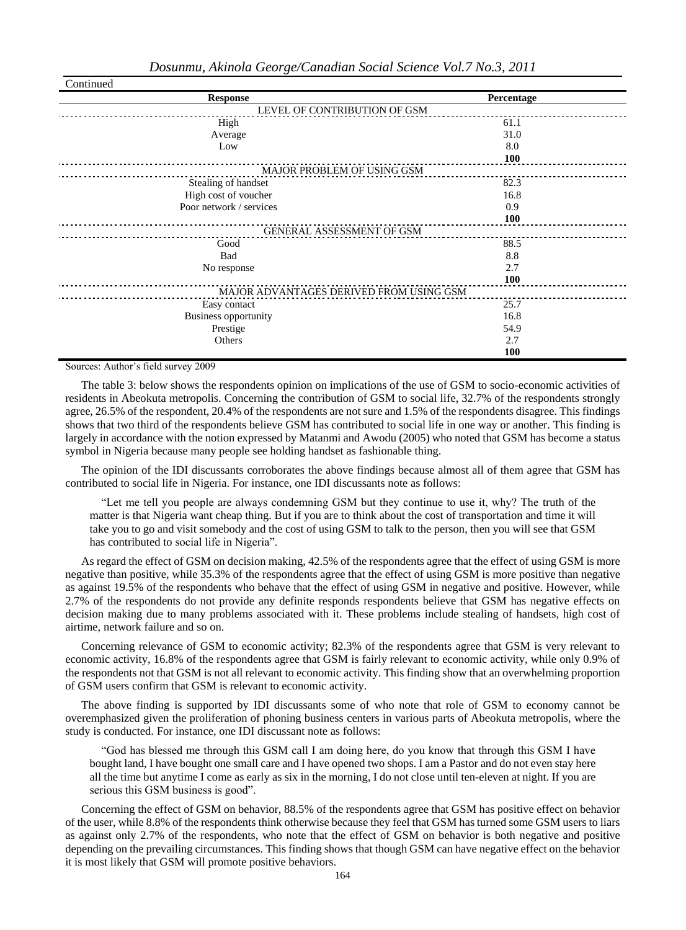| Continued                               |            |  |  |  |  |
|-----------------------------------------|------------|--|--|--|--|
| <b>Response</b>                         | Percentage |  |  |  |  |
| LEVEL OF CONTRIBUTION OF GSM            |            |  |  |  |  |
| High                                    | 61.1       |  |  |  |  |
| Average                                 | 31.0       |  |  |  |  |
| Low                                     | 8.0        |  |  |  |  |
|                                         | 100        |  |  |  |  |
| MAJOR PROBLEM OF USING GSM              |            |  |  |  |  |
| Stealing of handset                     | 82.3       |  |  |  |  |
| High cost of voucher                    | 16.8       |  |  |  |  |
| Poor network / services                 | 0.9        |  |  |  |  |
|                                         | <b>100</b> |  |  |  |  |
| GENERAL ASSESSMENT OF GSM               |            |  |  |  |  |
| Good                                    | 88.5       |  |  |  |  |
| Bad                                     | 8.8        |  |  |  |  |
| No response                             | 2.7        |  |  |  |  |
|                                         | 100        |  |  |  |  |
| MAJOR ADVANTAGES DERIVED FROM USING GSM |            |  |  |  |  |
| Easy contact                            | 25.7       |  |  |  |  |
| <b>Business opportunity</b>             | 16.8       |  |  |  |  |
| Prestige                                | 54.9       |  |  |  |  |
| Others                                  | 2.7        |  |  |  |  |
|                                         | 100        |  |  |  |  |

Sources: Author's field survey 2009

The table 3: below shows the respondents opinion on implications of the use of GSM to socio-economic activities of residents in Abeokuta metropolis. Concerning the contribution of GSM to social life, 32.7% of the respondents strongly agree, 26.5% of the respondent, 20.4% of the respondents are not sure and 1.5% of the respondents disagree. This findings shows that two third of the respondents believe GSM has contributed to social life in one way or another. This finding is largely in accordance with the notion expressed by Matanmi and Awodu (2005) who noted that GSM has become a status symbol in Nigeria because many people see holding handset as fashionable thing.

The opinion of the IDI discussants corroborates the above findings because almost all of them agree that GSM has contributed to social life in Nigeria. For instance, one IDI discussants note as follows:

"Let me tell you people are always condemning GSM but they continue to use it, why? The truth of the matter is that Nigeria want cheap thing. But if you are to think about the cost of transportation and time it will take you to go and visit somebody and the cost of using GSM to talk to the person, then you will see that GSM has contributed to social life in Nigeria".

As regard the effect of GSM on decision making, 42.5% of the respondents agree that the effect of using GSM is more negative than positive, while 35.3% of the respondents agree that the effect of using GSM is more positive than negative as against 19.5% of the respondents who behave that the effect of using GSM in negative and positive. However, while 2.7% of the respondents do not provide any definite responds respondents believe that GSM has negative effects on decision making due to many problems associated with it. These problems include stealing of handsets, high cost of airtime, network failure and so on.

Concerning relevance of GSM to economic activity; 82.3% of the respondents agree that GSM is very relevant to economic activity, 16.8% of the respondents agree that GSM is fairly relevant to economic activity, while only 0.9% of the respondents not that GSM is not all relevant to economic activity. This finding show that an overwhelming proportion of GSM users confirm that GSM is relevant to economic activity.

The above finding is supported by IDI discussants some of who note that role of GSM to economy cannot be overemphasized given the proliferation of phoning business centers in various parts of Abeokuta metropolis, where the study is conducted. For instance, one IDI discussant note as follows:

"God has blessed me through this GSM call I am doing here, do you know that through this GSM I have bought land, I have bought one small care and I have opened two shops. I am a Pastor and do not even stay here all the time but anytime I come as early as six in the morning, I do not close until ten-eleven at night. If you are serious this GSM business is good".

Concerning the effect of GSM on behavior, 88.5% of the respondents agree that GSM has positive effect on behavior of the user, while 8.8% of the respondents think otherwise because they feel that GSM has turned some GSM users to liars as against only 2.7% of the respondents, who note that the effect of GSM on behavior is both negative and positive depending on the prevailing circumstances. This finding shows that though GSM can have negative effect on the behavior it is most likely that GSM will promote positive behaviors.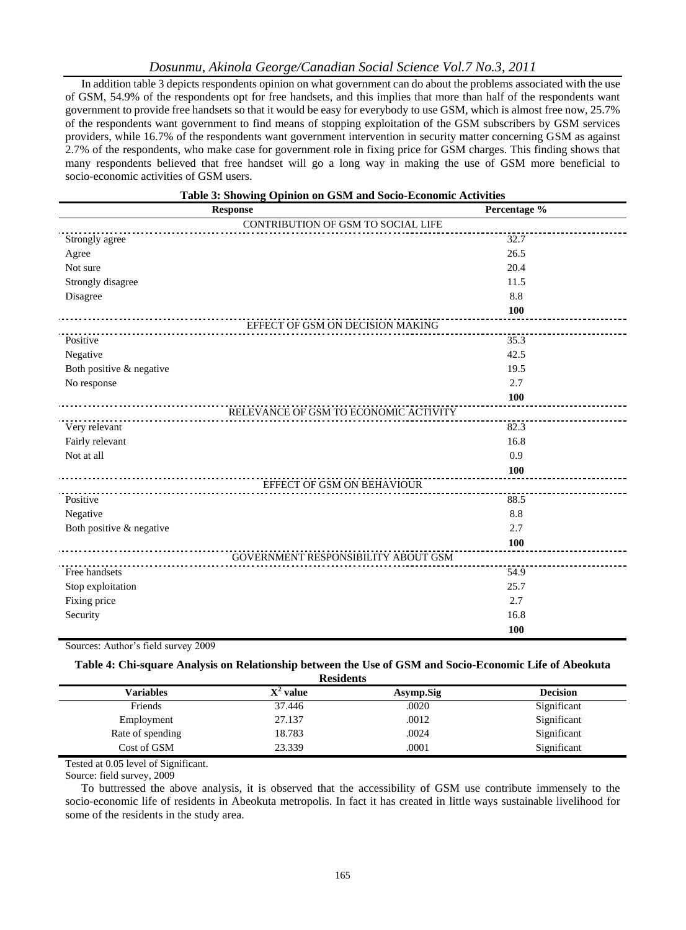#### *Dosunmu, Akinola George/Canadian Social Science Vol.7 No.3, 2011*

In addition table 3 depicts respondents opinion on what government can do about the problems associated with the use of GSM, 54.9% of the respondents opt for free handsets, and this implies that more than half of the respondents want government to provide free handsets so that it would be easy for everybody to use GSM, which is almost free now, 25.7% of the respondents want government to find means of stopping exploitation of the GSM subscribers by GSM services providers, while 16.7% of the respondents want government intervention in security matter concerning GSM as against 2.7% of the respondents, who make case for government role in fixing price for GSM charges. This finding shows that many respondents believed that free handset will go a long way in making the use of GSM more beneficial to socio-economic activities of GSM users.

| Table 3: Showing Opinion on GSM and Socio-Economic Activities |                                            |  |  |  |
|---------------------------------------------------------------|--------------------------------------------|--|--|--|
| <b>Response</b>                                               | Percentage %                               |  |  |  |
|                                                               | CONTRIBUTION OF GSM TO SOCIAL LIFE         |  |  |  |
| Strongly agree                                                | 32.7                                       |  |  |  |
| Agree                                                         | 26.5                                       |  |  |  |
| Not sure                                                      | 20.4                                       |  |  |  |
| Strongly disagree                                             | 11.5                                       |  |  |  |
| Disagree                                                      | 8.8                                        |  |  |  |
|                                                               | 100                                        |  |  |  |
|                                                               | EFFECT OF GSM ON DECISION MAKING           |  |  |  |
| Positive                                                      | 35.3                                       |  |  |  |
| Negative                                                      | 42.5                                       |  |  |  |
| Both positive & negative                                      | 19.5                                       |  |  |  |
| No response                                                   | 2.7                                        |  |  |  |
|                                                               | 100                                        |  |  |  |
|                                                               | RELEVANCE OF GSM TO ECONOMIC ACTIVITY      |  |  |  |
| Very relevant                                                 | 82.3                                       |  |  |  |
| Fairly relevant                                               | 16.8                                       |  |  |  |
| Not at all                                                    | 0.9                                        |  |  |  |
| <u>.</u>                                                      | 100                                        |  |  |  |
|                                                               | EFFECT OF GSM ON BEHAVIOUR                 |  |  |  |
| Positive                                                      | 88.5                                       |  |  |  |
| Negative                                                      | 8.8                                        |  |  |  |
| Both positive & negative                                      | 2.7                                        |  |  |  |
|                                                               | 100                                        |  |  |  |
|                                                               | <b>GOVERNMENT RESPONSIBILITY ABOUT GSM</b> |  |  |  |
| Free handsets                                                 | 54.9                                       |  |  |  |
| Stop exploitation                                             | 25.7                                       |  |  |  |
| Fixing price                                                  | 2.7                                        |  |  |  |
| Security                                                      | 16.8                                       |  |  |  |
|                                                               | 100                                        |  |  |  |

Sources: Author's field survey 2009

#### **Table 4: Chi-square Analysis on Relationship between the Use of GSM and Socio-Economic Life of Abeokuta**

| <b>Residents</b> |             |           |                 |  |  |  |
|------------------|-------------|-----------|-----------------|--|--|--|
| <b>Variables</b> | $X^2$ value | Asymp.Sig | <b>Decision</b> |  |  |  |
| Friends          | 37.446      | .0020     | Significant     |  |  |  |
| Employment       | 27.137      | .0012     | Significant     |  |  |  |
| Rate of spending | 18.783      | .0024     | Significant     |  |  |  |
| Cost of GSM      | 23.339      | .0001     | Significant     |  |  |  |

Tested at 0.05 level of Significant.

Source: field survey, 2009

To buttressed the above analysis, it is observed that the accessibility of GSM use contribute immensely to the socio-economic life of residents in Abeokuta metropolis. In fact it has created in little ways sustainable livelihood for some of the residents in the study area.